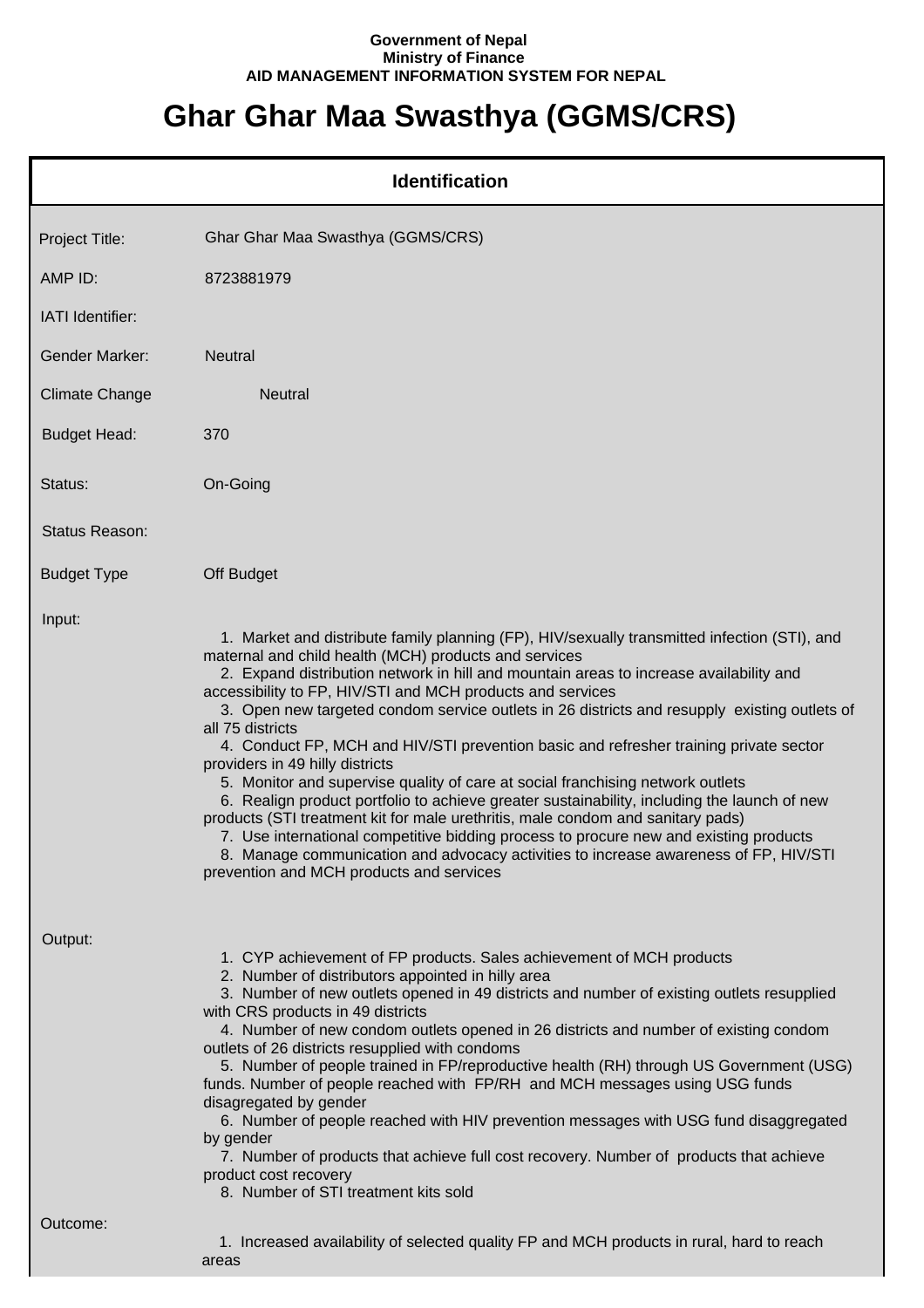## **Government of Nepal Ministry of Finance AID MANAGEMENT INFORMATION SYSTEM FOR NEPAL**

## **Ghar Ghar Maa Swasthya (GGMS/CRS)**

|                       | <b>Identification</b>                                                                                                                                                                                                                                                                                                                                                                                                                                                                                                                                                                                                                                                                                                                                                                                                                                                                                                                                                                                                                                          |
|-----------------------|----------------------------------------------------------------------------------------------------------------------------------------------------------------------------------------------------------------------------------------------------------------------------------------------------------------------------------------------------------------------------------------------------------------------------------------------------------------------------------------------------------------------------------------------------------------------------------------------------------------------------------------------------------------------------------------------------------------------------------------------------------------------------------------------------------------------------------------------------------------------------------------------------------------------------------------------------------------------------------------------------------------------------------------------------------------|
| Project Title:        | Ghar Ghar Maa Swasthya (GGMS/CRS)                                                                                                                                                                                                                                                                                                                                                                                                                                                                                                                                                                                                                                                                                                                                                                                                                                                                                                                                                                                                                              |
| AMP ID:               | 8723881979                                                                                                                                                                                                                                                                                                                                                                                                                                                                                                                                                                                                                                                                                                                                                                                                                                                                                                                                                                                                                                                     |
| IATI Identifier:      |                                                                                                                                                                                                                                                                                                                                                                                                                                                                                                                                                                                                                                                                                                                                                                                                                                                                                                                                                                                                                                                                |
| <b>Gender Marker:</b> | <b>Neutral</b>                                                                                                                                                                                                                                                                                                                                                                                                                                                                                                                                                                                                                                                                                                                                                                                                                                                                                                                                                                                                                                                 |
| <b>Climate Change</b> | <b>Neutral</b>                                                                                                                                                                                                                                                                                                                                                                                                                                                                                                                                                                                                                                                                                                                                                                                                                                                                                                                                                                                                                                                 |
| <b>Budget Head:</b>   | 370                                                                                                                                                                                                                                                                                                                                                                                                                                                                                                                                                                                                                                                                                                                                                                                                                                                                                                                                                                                                                                                            |
| Status:               | On-Going                                                                                                                                                                                                                                                                                                                                                                                                                                                                                                                                                                                                                                                                                                                                                                                                                                                                                                                                                                                                                                                       |
| <b>Status Reason:</b> |                                                                                                                                                                                                                                                                                                                                                                                                                                                                                                                                                                                                                                                                                                                                                                                                                                                                                                                                                                                                                                                                |
| <b>Budget Type</b>    | Off Budget                                                                                                                                                                                                                                                                                                                                                                                                                                                                                                                                                                                                                                                                                                                                                                                                                                                                                                                                                                                                                                                     |
| Input:                | 1. Market and distribute family planning (FP), HIV/sexually transmitted infection (STI), and<br>maternal and child health (MCH) products and services<br>2. Expand distribution network in hill and mountain areas to increase availability and<br>accessibility to FP, HIV/STI and MCH products and services<br>3. Open new targeted condom service outlets in 26 districts and resupply existing outlets of<br>all 75 districts<br>4. Conduct FP, MCH and HIV/STI prevention basic and refresher training private sector<br>providers in 49 hilly districts<br>5. Monitor and supervise quality of care at social franchising network outlets<br>6. Realign product portfolio to achieve greater sustainability, including the launch of new<br>products (STI treatment kit for male urethritis, male condom and sanitary pads)<br>7. Use international competitive bidding process to procure new and existing products<br>8. Manage communication and advocacy activities to increase awareness of FP, HIV/STI<br>prevention and MCH products and services |
| Output:<br>Outcome:   | 1. CYP achievement of FP products. Sales achievement of MCH products<br>2. Number of distributors appointed in hilly area<br>3. Number of new outlets opened in 49 districts and number of existing outlets resupplied<br>with CRS products in 49 districts<br>4. Number of new condom outlets opened in 26 districts and number of existing condom<br>outlets of 26 districts resupplied with condoms<br>5. Number of people trained in FP/reproductive health (RH) through US Government (USG)<br>funds. Number of people reached with FP/RH and MCH messages using USG funds<br>disagregated by gender<br>6. Number of people reached with HIV prevention messages with USG fund disaggregated<br>by gender<br>7. Number of products that achieve full cost recovery. Number of products that achieve<br>product cost recovery<br>8. Number of STI treatment kits sold                                                                                                                                                                                      |
|                       | 1. Increased availability of selected quality FP and MCH products in rural, hard to reach<br>areas                                                                                                                                                                                                                                                                                                                                                                                                                                                                                                                                                                                                                                                                                                                                                                                                                                                                                                                                                             |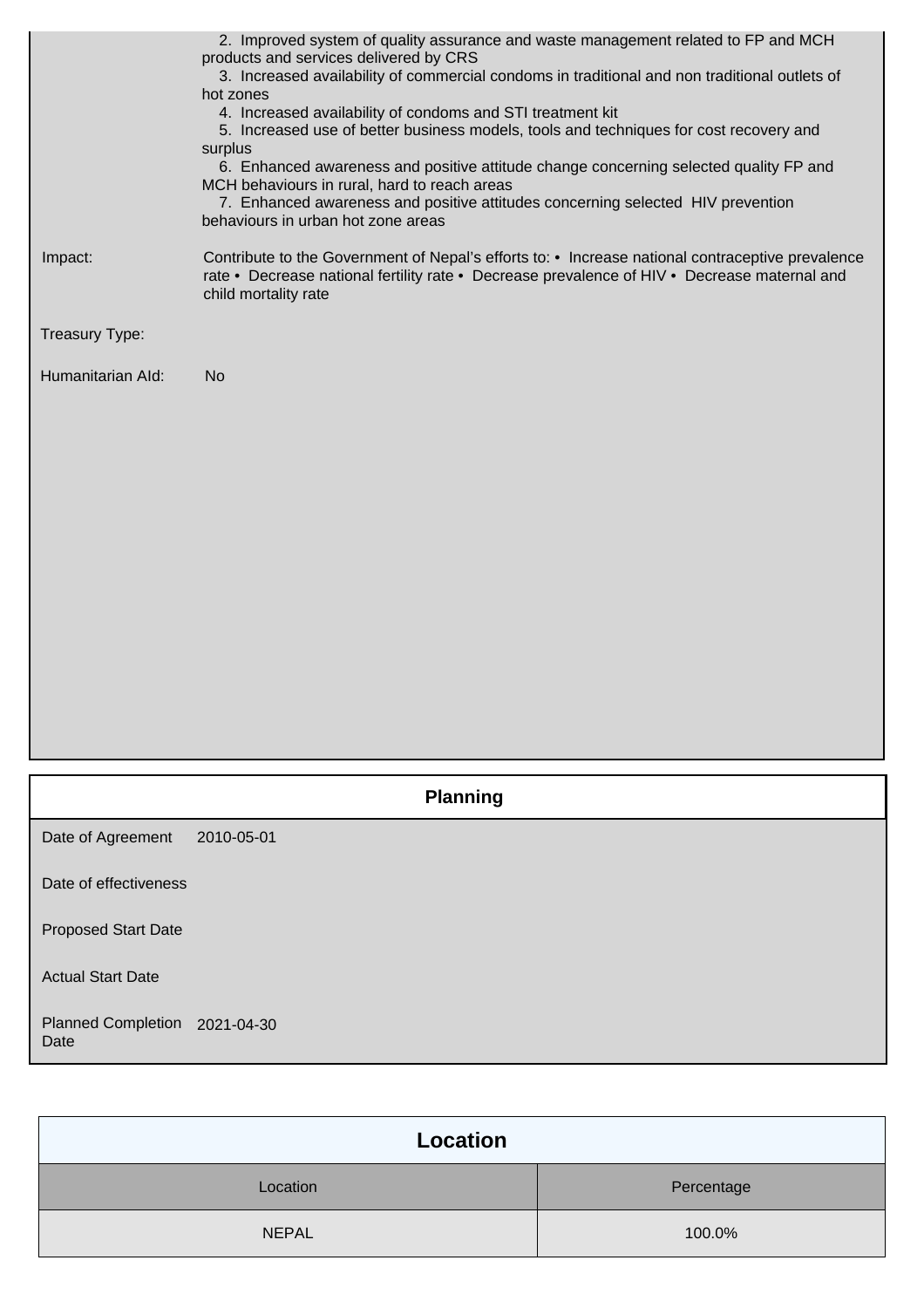|                                   | 2. Improved system of quality assurance and waste management related to FP and MCH<br>products and services delivered by CRS<br>3. Increased availability of commercial condoms in traditional and non traditional outlets of<br>hot zones<br>4. Increased availability of condoms and STI treatment kit<br>5. Increased use of better business models, tools and techniques for cost recovery and<br>surplus<br>6. Enhanced awareness and positive attitude change concerning selected quality FP and<br>MCH behaviours in rural, hard to reach areas<br>7. Enhanced awareness and positive attitudes concerning selected HIV prevention<br>behaviours in urban hot zone areas |
|-----------------------------------|---------------------------------------------------------------------------------------------------------------------------------------------------------------------------------------------------------------------------------------------------------------------------------------------------------------------------------------------------------------------------------------------------------------------------------------------------------------------------------------------------------------------------------------------------------------------------------------------------------------------------------------------------------------------------------|
| Impact:                           | Contribute to the Government of Nepal's efforts to: • Increase national contraceptive prevalence<br>rate • Decrease national fertility rate • Decrease prevalence of HIV • Decrease maternal and<br>child mortality rate                                                                                                                                                                                                                                                                                                                                                                                                                                                        |
| Treasury Type:                    |                                                                                                                                                                                                                                                                                                                                                                                                                                                                                                                                                                                                                                                                                 |
| Humanitarian Ald:                 | <b>No</b>                                                                                                                                                                                                                                                                                                                                                                                                                                                                                                                                                                                                                                                                       |
|                                   | <b>Planning</b>                                                                                                                                                                                                                                                                                                                                                                                                                                                                                                                                                                                                                                                                 |
| Date of Agreement                 | 2010-05-01                                                                                                                                                                                                                                                                                                                                                                                                                                                                                                                                                                                                                                                                      |
| Date of effectiveness             |                                                                                                                                                                                                                                                                                                                                                                                                                                                                                                                                                                                                                                                                                 |
| <b>Proposed Start Date</b>        |                                                                                                                                                                                                                                                                                                                                                                                                                                                                                                                                                                                                                                                                                 |
| <b>Actual Start Date</b>          |                                                                                                                                                                                                                                                                                                                                                                                                                                                                                                                                                                                                                                                                                 |
| <b>Planned Completion</b><br>Date | 2021-04-30                                                                                                                                                                                                                                                                                                                                                                                                                                                                                                                                                                                                                                                                      |

| Location     |            |
|--------------|------------|
| Location     | Percentage |
| <b>NEPAL</b> | 100.0%     |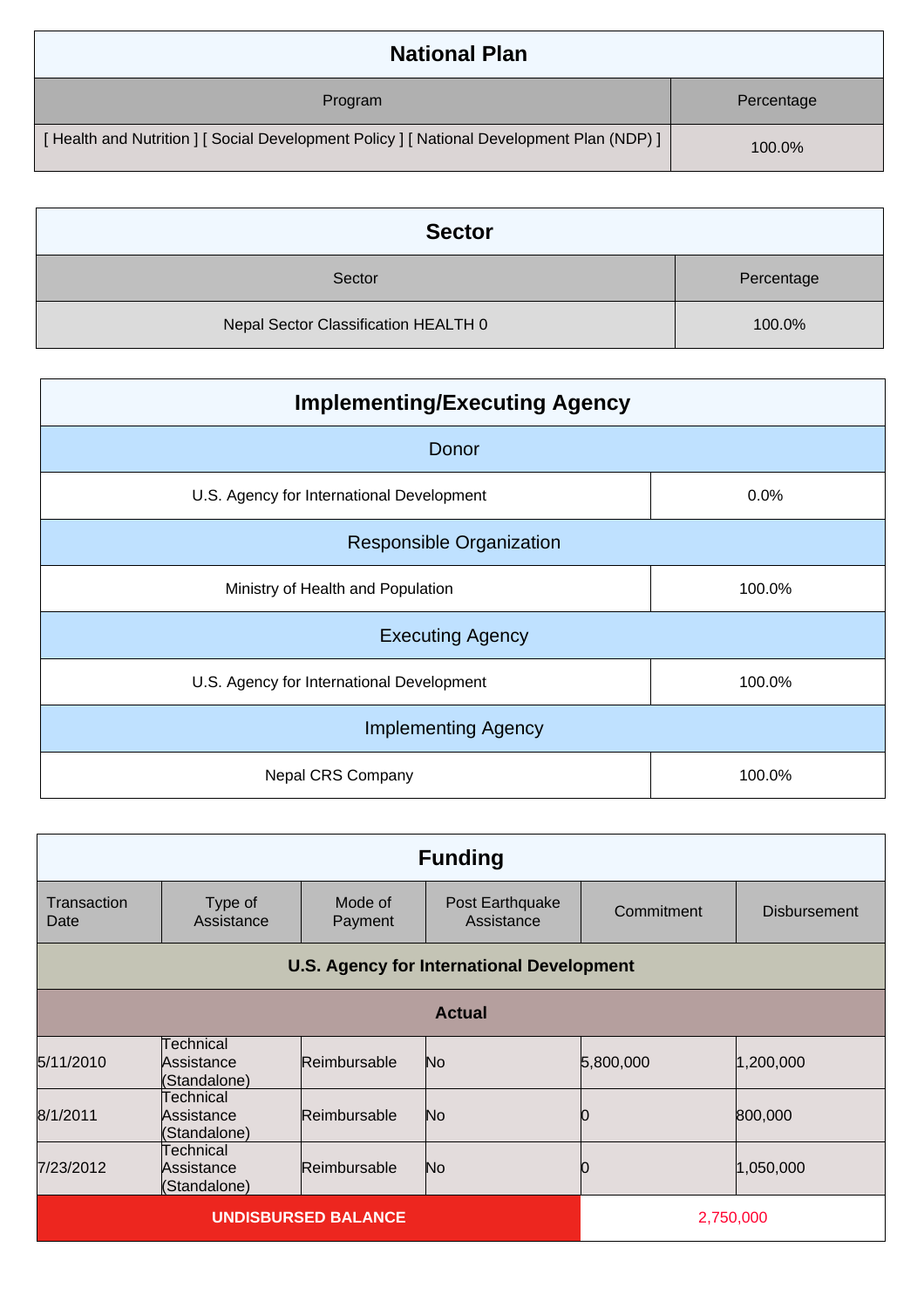| <b>National Plan</b>                                                                    |            |
|-----------------------------------------------------------------------------------------|------------|
| Program                                                                                 | Percentage |
| [Health and Nutrition ] [Social Development Policy ] [National Development Plan (NDP) ] | 100.0%     |

| <b>Sector</b>                        |            |
|--------------------------------------|------------|
| Sector                               | Percentage |
| Nepal Sector Classification HEALTH 0 | 100.0%     |

| <b>Implementing/Executing Agency</b>      |        |  |
|-------------------------------------------|--------|--|
| Donor                                     |        |  |
| U.S. Agency for International Development | 0.0%   |  |
| <b>Responsible Organization</b>           |        |  |
| Ministry of Health and Population         | 100.0% |  |
| <b>Executing Agency</b>                   |        |  |
| U.S. Agency for International Development | 100.0% |  |
| <b>Implementing Agency</b>                |        |  |
| Nepal CRS Company                         | 100.0% |  |

| <b>Funding</b>             |                                                  |                    |                               |            |                     |
|----------------------------|--------------------------------------------------|--------------------|-------------------------------|------------|---------------------|
| Transaction<br>Date        | Type of<br>Assistance                            | Mode of<br>Payment | Post Earthquake<br>Assistance | Commitment | <b>Disbursement</b> |
|                            | <b>U.S. Agency for International Development</b> |                    |                               |            |                     |
| <b>Actual</b>              |                                                  |                    |                               |            |                     |
| 5/11/2010                  | Technical<br>Assistance<br>(Standalone)          | Reimbursable       | No.                           | 5,800,000  | 1,200,000           |
| 8/1/2011                   | Technical<br>Assistance<br>(Standalone)          | Reimbursable       | No.                           |            | 800,000             |
| 7/23/2012                  | Technical<br>Assistance<br>(Standalone)          | Reimbursable       | No.                           |            | 1,050,000           |
| <b>UNDISBURSED BALANCE</b> |                                                  |                    | 2,750,000                     |            |                     |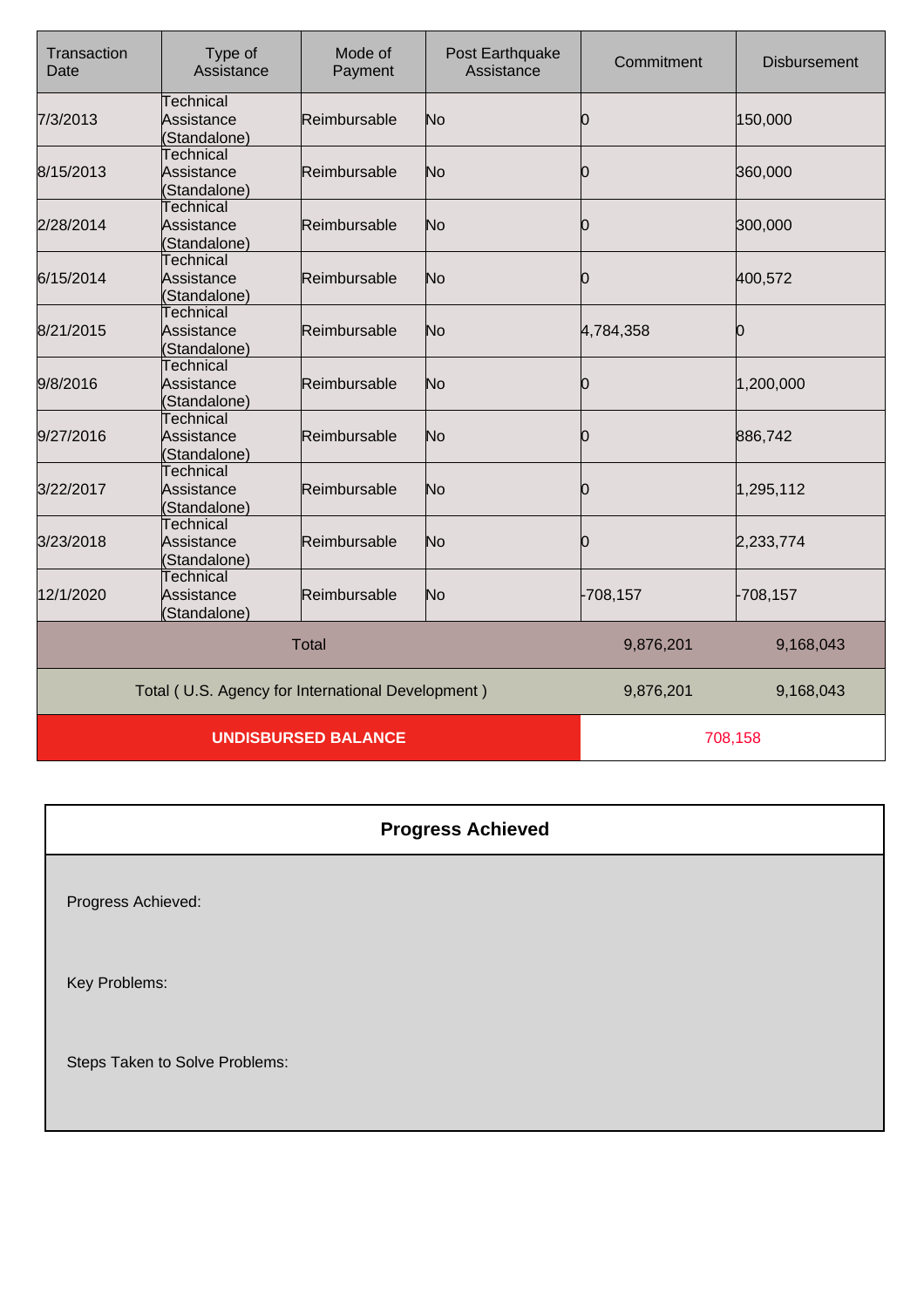| Transaction<br>Date                               | Type of<br>Assistance                          | Mode of<br>Payment | Post Earthquake<br>Assistance | Commitment | <b>Disbursement</b> |
|---------------------------------------------------|------------------------------------------------|--------------------|-------------------------------|------------|---------------------|
| 7/3/2013                                          | Technical<br>Assistance<br>(Standalone)        | Reimbursable       | No                            | Ю          | 150,000             |
| 8/15/2013                                         | Technical<br>Assistance<br>(Standalone)        | Reimbursable       | No                            | 0          | 360,000             |
| 2/28/2014                                         | Technical<br>Assistance<br>(Standalone)        | Reimbursable       | No                            | 0          | 300,000             |
| 6/15/2014                                         | Technical<br>Assistance<br>(Standalone)        | Reimbursable       | No                            | 0          | 400,572             |
| 8/21/2015                                         | Technical<br>Assistance<br>(Standalone)        | Reimbursable       | No                            | 4,784,358  | Ю                   |
| 9/8/2016                                          | Technical<br>Assistance<br>(Standalone)        | Reimbursable       | No                            | 10         | 1,200,000           |
| 9/27/2016                                         | Technical<br>Assistance<br>(Standalone)        | Reimbursable       | No                            | 0          | 886,742             |
| 3/22/2017                                         | Technical<br>Assistance<br>(Standalone)        | Reimbursable       | No                            | 10         | 1,295,112           |
| 3/23/2018                                         | Technical<br>Assistance<br>(Standalone)        | Reimbursable       | No                            | Ю          | 2,233,774           |
| 12/1/2020                                         | <b>Technical</b><br>Assistance<br>(Standalone) | Reimbursable       | No                            | -708,157   | $-708, 157$         |
|                                                   |                                                | <b>Total</b>       |                               | 9,876,201  | 9,168,043           |
| Total (U.S. Agency for International Development) |                                                |                    | 9,876,201                     | 9,168,043  |                     |
| <b>UNDISBURSED BALANCE</b>                        |                                                |                    | 708,158                       |            |                     |

## **Progress Achieved**

Progress Achieved:

Key Problems:

Steps Taken to Solve Problems: